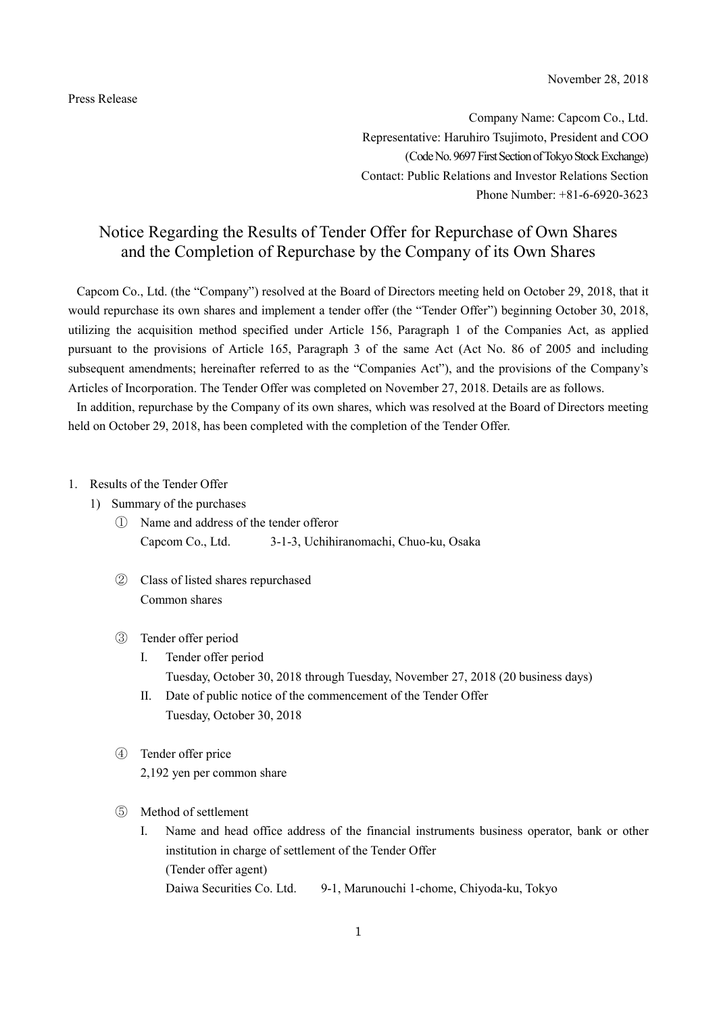Press Release

Company Name: Capcom Co., Ltd. Representative: Haruhiro Tsujimoto, President and COO (Code No. 9697 First Section of Tokyo Stock Exchange) Contact: Public Relations and Investor Relations Section Phone Number: +81-6-6920-3623

# Notice Regarding the Results of Tender Offer for Repurchase of Own Shares and the Completion of Repurchase by the Company of its Own Shares

Capcom Co., Ltd. (the "Company") resolved at the Board of Directors meeting held on October 29, 2018, that it would repurchase its own shares and implement a tender offer (the "Tender Offer") beginning October 30, 2018, utilizing the acquisition method specified under Article 156, Paragraph 1 of the Companies Act, as applied pursuant to the provisions of Article 165, Paragraph 3 of the same Act (Act No. 86 of 2005 and including subsequent amendments; hereinafter referred to as the "Companies Act"), and the provisions of the Company's Articles of Incorporation. The Tender Offer was completed on November 27, 2018. Details are as follows.

In addition, repurchase by the Company of its own shares, which was resolved at the Board of Directors meeting held on October 29, 2018, has been completed with the completion of the Tender Offer.

## 1. Results of the Tender Offer

- 1) Summary of the purchases
	- ① Name and address of the tender offeror Capcom Co., Ltd. 3-1-3, Uchihiranomachi, Chuo-ku, Osaka
	- ② Class of listed shares repurchased Common shares

#### ③ Tender offer period

- I. Tender offer period Tuesday, October 30, 2018 through Tuesday, November 27, 2018 (20 business days)
- II. Date of public notice of the commencement of the Tender Offer Tuesday, October 30, 2018
- ④ Tender offer price 2,192 yen per common share
- ⑤ Method of settlement
	- I. Name and head office address of the financial instruments business operator, bank or other institution in charge of settlement of the Tender Offer (Tender offer agent) Daiwa Securities Co. Ltd. 9-1, Marunouchi 1-chome, Chiyoda-ku, Tokyo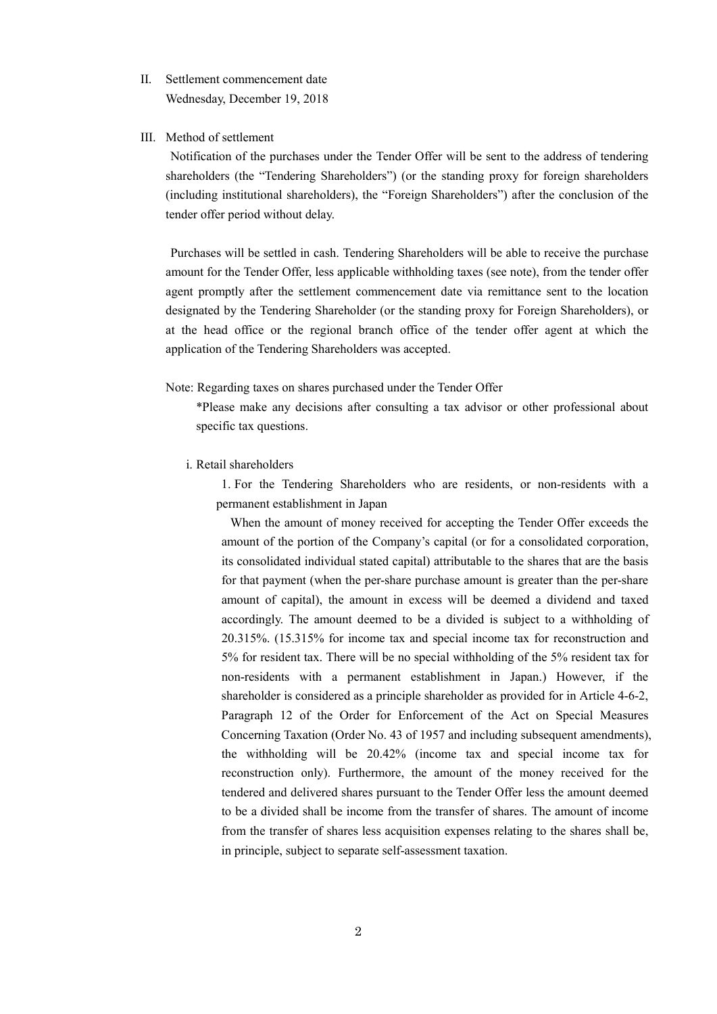- II. Settlement commencement date Wednesday, December 19, 2018
- III. Method of settlement

Notification of the purchases under the Tender Offer will be sent to the address of tendering shareholders (the "Tendering Shareholders") (or the standing proxy for foreign shareholders (including institutional shareholders), the "Foreign Shareholders") after the conclusion of the tender offer period without delay.

Purchases will be settled in cash. Tendering Shareholders will be able to receive the purchase amount for the Tender Offer, less applicable withholding taxes (see note), from the tender offer agent promptly after the settlement commencement date via remittance sent to the location designated by the Tendering Shareholder (or the standing proxy for Foreign Shareholders), or at the head office or the regional branch office of the tender offer agent at which the application of the Tendering Shareholders was accepted.

#### Note: Regarding taxes on shares purchased under the Tender Offer

\*Please make any decisions after consulting a tax advisor or other professional about specific tax questions.

i. Retail shareholders

1. For the Tendering Shareholders who are residents, or non-residents with a permanent establishment in Japan

When the amount of money received for accepting the Tender Offer exceeds the amount of the portion of the Company's capital (or for a consolidated corporation, its consolidated individual stated capital) attributable to the shares that are the basis for that payment (when the per-share purchase amount is greater than the per-share amount of capital), the amount in excess will be deemed a dividend and taxed accordingly. The amount deemed to be a divided is subject to a withholding of 20.315%. (15.315% for income tax and special income tax for reconstruction and 5% for resident tax. There will be no special withholding of the 5% resident tax for non-residents with a permanent establishment in Japan.) However, if the shareholder is considered as a principle shareholder as provided for in Article 4-6-2, Paragraph 12 of the Order for Enforcement of the Act on Special Measures Concerning Taxation (Order No. 43 of 1957 and including subsequent amendments), the withholding will be 20.42% (income tax and special income tax for reconstruction only). Furthermore, the amount of the money received for the tendered and delivered shares pursuant to the Tender Offer less the amount deemed to be a divided shall be income from the transfer of shares. The amount of income from the transfer of shares less acquisition expenses relating to the shares shall be, in principle, subject to separate self-assessment taxation.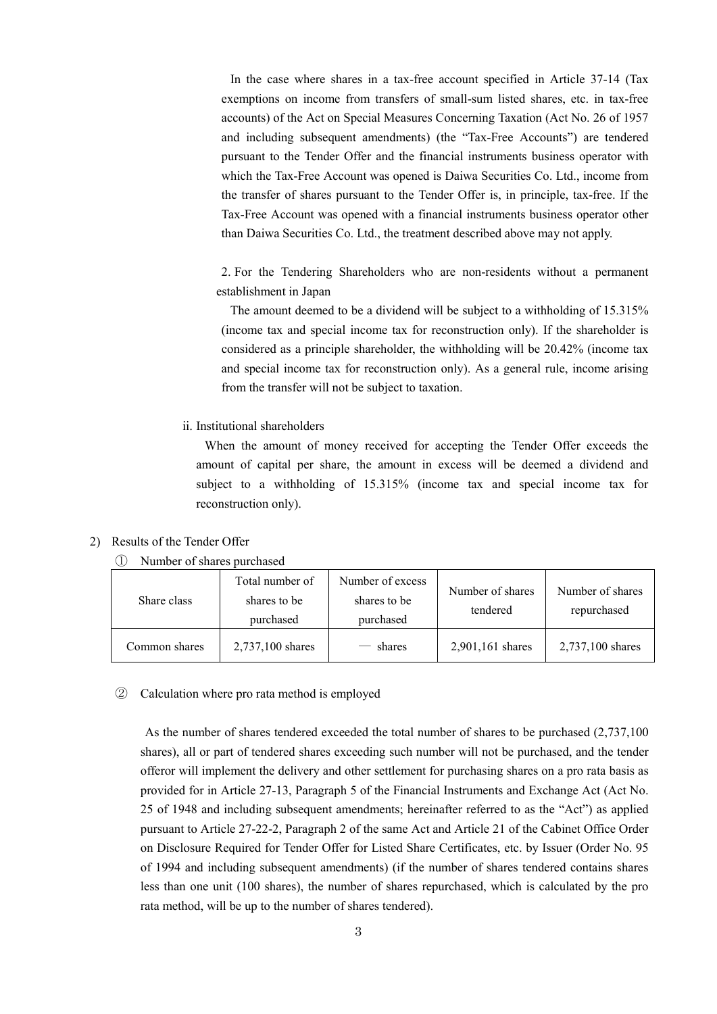In the case where shares in a tax-free account specified in Article 37-14 (Tax exemptions on income from transfers of small-sum listed shares, etc. in tax-free accounts) of the Act on Special Measures Concerning Taxation (Act No. 26 of 1957 and including subsequent amendments) (the "Tax-Free Accounts") are tendered pursuant to the Tender Offer and the financial instruments business operator with which the Tax-Free Account was opened is Daiwa Securities Co. Ltd., income from the transfer of shares pursuant to the Tender Offer is, in principle, tax-free. If the Tax-Free Account was opened with a financial instruments business operator other than Daiwa Securities Co. Ltd., the treatment described above may not apply.

2. For the Tendering Shareholders who are non-residents without a permanent establishment in Japan

The amount deemed to be a dividend will be subject to a withholding of 15.315% (income tax and special income tax for reconstruction only). If the shareholder is considered as a principle shareholder, the withholding will be 20.42% (income tax and special income tax for reconstruction only). As a general rule, income arising from the transfer will not be subject to taxation.

ii. Institutional shareholders

When the amount of money received for accepting the Tender Offer exceeds the amount of capital per share, the amount in excess will be deemed a dividend and subject to a withholding of 15.315% (income tax and special income tax for reconstruction only).

## 2) Results of the Tender Offer

① Number of shares purchased

| Share class   | Total number of<br>shares to be<br>purchased | Number of excess<br>shares to be<br>purchased | Number of shares<br>tendered | Number of shares<br>repurchased |
|---------------|----------------------------------------------|-----------------------------------------------|------------------------------|---------------------------------|
| Common shares | 2,737,100 shares                             | shares                                        | 2,901,161 shares             | 2,737,100 shares                |

### ② Calculation where pro rata method is employed

As the number of shares tendered exceeded the total number of shares to be purchased (2,737,100 shares), all or part of tendered shares exceeding such number will not be purchased, and the tender offeror will implement the delivery and other settlement for purchasing shares on a pro rata basis as provided for in Article 27-13, Paragraph 5 of the Financial Instruments and Exchange Act (Act No. 25 of 1948 and including subsequent amendments; hereinafter referred to as the "Act") as applied pursuant to Article 27-22-2, Paragraph 2 of the same Act and Article 21 of the Cabinet Office Order on Disclosure Required for Tender Offer for Listed Share Certificates, etc. by Issuer (Order No. 95 of 1994 and including subsequent amendments) (if the number of shares tendered contains shares less than one unit (100 shares), the number of shares repurchased, which is calculated by the pro rata method, will be up to the number of shares tendered).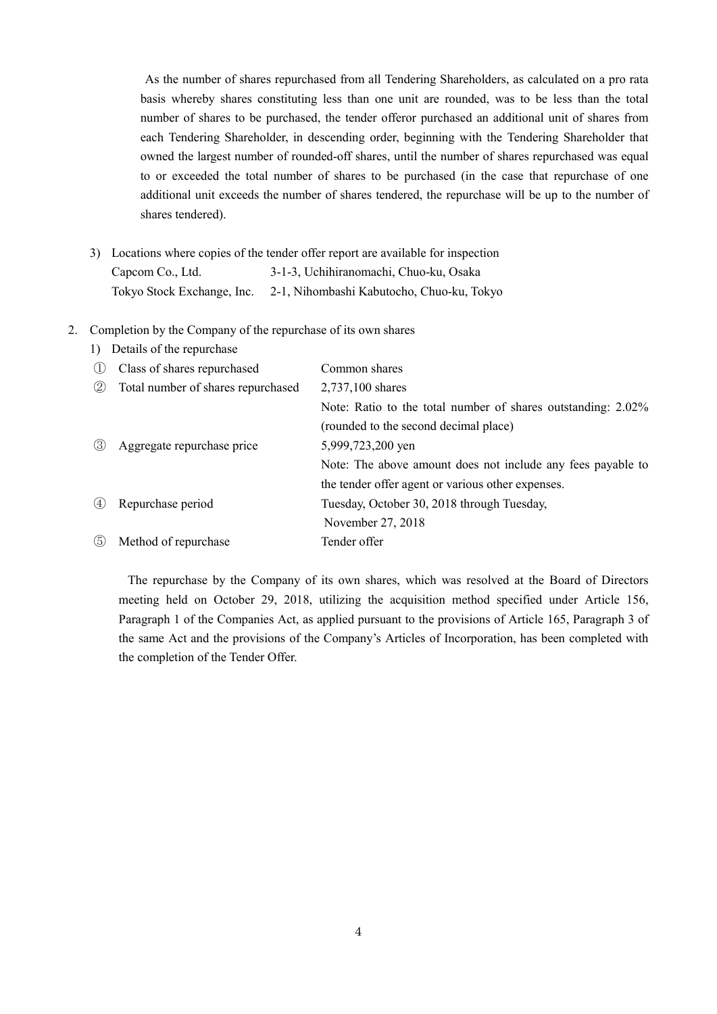As the number of shares repurchased from all Tendering Shareholders, as calculated on a pro rata basis whereby shares constituting less than one unit are rounded, was to be less than the total number of shares to be purchased, the tender offeror purchased an additional unit of shares from each Tendering Shareholder, in descending order, beginning with the Tendering Shareholder that owned the largest number of rounded-off shares, until the number of shares repurchased was equal to or exceeded the total number of shares to be purchased (in the case that repurchase of one additional unit exceeds the number of shares tendered, the repurchase will be up to the number of shares tendered).

3) Locations where copies of the tender offer report are available for inspection Capcom Co., Ltd. 3-1-3, Uchihiranomachi, Chuo-ku, Osaka Tokyo Stock Exchange, Inc. 2-1, Nihombashi Kabutocho, Chuo-ku, Tokyo

#### 2. Completion by the Company of the repurchase of its own shares

| Class of shares repurchased        | Common shares                                                |  |
|------------------------------------|--------------------------------------------------------------|--|
| Total number of shares repurchased | 2,737,100 shares                                             |  |
|                                    | Note: Ratio to the total number of shares outstanding: 2.02% |  |
|                                    | (rounded to the second decimal place)                        |  |
| Aggregate repurchase price         | 5,999,723,200 yen                                            |  |
|                                    | Note: The above amount does not include any fees payable to  |  |
|                                    | the tender offer agent or various other expenses.            |  |
| Repurchase period                  | Tuesday, October 30, 2018 through Tuesday,                   |  |
|                                    | November 27, 2018                                            |  |
| Method of repurchase               | Tender offer                                                 |  |
|                                    | Details of the repurchase                                    |  |

The repurchase by the Company of its own shares, which was resolved at the Board of Directors meeting held on October 29, 2018, utilizing the acquisition method specified under Article 156, Paragraph 1 of the Companies Act, as applied pursuant to the provisions of Article 165, Paragraph 3 of the same Act and the provisions of the Company's Articles of Incorporation, has been completed with the completion of the Tender Offer.